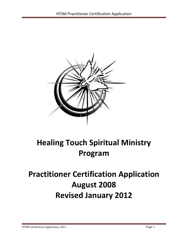

# **Healing Touch Spiritual Ministry Program**

# **Practitioner Certification Application August 2008 Revised January 2012**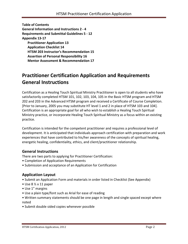**Table of Contents General Information and Instructions 2 - 4 Requirements and Submittal Guidelines 5 - 12 Appendix 13-17 Practitioner Application 13 Application Checklist 14 HTSM 203 Instructor's Recommendation 15 Assertion of Personal Responsibility 16 Mentor Assessment & Recommendation 17**

# **Practitioner Certification Application and Requirements General Instructions**

Certification as a Healing Touch Spiritual Ministry Practitioner is open to all students who have satisfactorily completed HTSM 101, 102, 103, 104, 105 in the Basic HTSM program and HTSM 202 and 203 in the Advanced HTSM program and received a Certificate of Course Completion. [Prior to January, 2005 you may substitute HT level 1 and 2 in place of HTSM 103 and 104]. Certification is an appropriate goal for all who wish to establish a Healing Touch Spiritual Ministry practice, or incorporate Healing Touch Spiritual Ministry as a focus within an existing practice.

Certification is intended for the competent practitioner and requires a professional level of development. It is anticipated that individuals approach certification with preparation and work experiences that have contributed to his/her awareness of the concepts of spiritual healing, energetic healing, confidentiality, ethics, and client/practitioner relationship.

#### **General Instructions**

There are two parts to applying for Practitioner Certification:

- Completion of Application Requirements
- Submission and acceptance of an Application for Certification

#### **Application Layout**

- Submit an Application Form and materials in order listed in Checklist (See Appendix)
- Use 8 ½ x 11 paper
- Use 1" margins
- Use a plain type/font such as Arial for ease of reading
- Written summary statements should be one page in length and single spaced except where noted
- Submit double sided copies whenever possible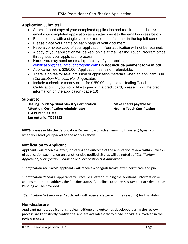#### **Application Submittal**

- · Submit 1 hard copy of your completed application and required materials **or** email your completed application as an attachment to the email address below.
- · Bind the copy with a single staple or round head fastener in the top left corner.
- · Please place your name on each page of your document.
- · Keep a complete copy of your application. Your application will not be returned.
- · A copy of your application will be kept on file at the Healing Touch Program office throughout your application process.
- · **Note:** You may send an email (pdf) copy of your application to [certification@healingtouchprogram.com](mailto:certification@healingtouchprogram.com) **Do not include payment form in pdf.**
- · Application fee is \$250.00. Application fee is non-refundable.
- · There is no fee for re-submission of application materials when an applicant is in **%***Certification Renewal Pending+status.*
- Include a check or money order for \$250.00 payable to Healing Touch Certification. If you would like to pay with a credit card, please fill out the credit information on the application (page 13)

#### **Submit to:**

**Healing Touch Spiritual Ministry Certification Attention: Certification Administrator 15439 Pebble Gate San Antonio, TX 78232**

**Make checks payable to: Healing Touch Certification** 

**Note**: Please notify the Certification Review Board with an email to [htsmcert@gmail.com](mailto:htsmcert@gmail.com) when you send your packet to the address above.

#### **Notification to Applicant**

Applicants will receive a letter, indicating the outcome of the application review within 8 weeks of application submission unless otherwise notified. Status will be noted as *"Certification Approved"*, *"Certification Pending"* or *"Certification Not Approved".* 

*"Certification Approved"* applicants will receive a congratulatory letter, certificate and pin.

*"Certification Pending"* applicants will receive a letter outlining the additional information or actions required to address the Pending status. Guidelines to address issues that are denoted as Pending will be provided.

*"Certification Not approved"* applicants will receive a letter with the reason(s) for this status.

#### **Non-disclosure**

Applicant names, applications, review, critique and outcomes developed during the review process are kept strictly confidential and are available only to those individuals involved in the review process.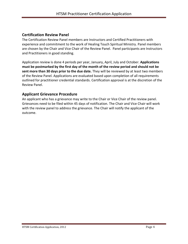#### **Certification Review Panel**

The Certification Review Panel members are Instructors and Certified Practitioners with experience and commitment to the work of Healing Touch Spiritual Ministry. Panel members are chosen by the Chair and Vice Chair of the Review Panel. Panel participants are Instructors and Practitioners in good standing.

Application review is done 4 periods per year, January, April, July and October. **Applications must be postmarked by the first day of the month of the review period and should not be sent more than 30 days prior to the due date.** They will be reviewed by at least two members of the Review Panel. Applications are evaluated based upon completion of all requirements outlined for practitioner credential standards. Certification approval is at the discretion of the Review Panel.

#### **Applicant Grievance Procedure**

An applicant who has a grievance may write to the Chair or Vice Chair of the review panel. Grievances need to be filed within 45 days of notification. The Chair and Vice Chair will work with the review panel to address the grievance. The Chair will notify the applicant of the outcome.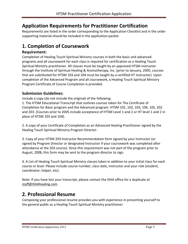# **Application Requirements for Practitioner Certification**

Requirements are listed in the order corresponding to the Application Checklist and in the order supporting material should be included in the application packet.

# **1. Completion of Coursework**

#### **Requirement:**

Completion of Healing Touch Spiritual Ministry courses in both the basic and advanced programs and all coursework for each class is required for certification as a Healing Touch Spiritual Ministry practitioner. All classes must be taught by an approved HTSM instructor through the Institute of Spiritual Healing & Aromatherapy, Inc. [prior to January, 2005, courses that are substituted for HTSM 103 and 104 must be taught by a certified HT instructor]. Upon completion of the Advanced Program and all coursework, a Healing Touch Spiritual Ministry Program Certificate of Course Completion is provided.

#### **Submission Guidelines:**

Include a copy (do not include the original) of the following:

1. The HTSM Educational Transcript that outlines courses taken for The Certificate of Completion for Basic program and the Advanced program: HTSM 101, 102, 103, 104, 105, 202 and 203. [Courses prior to 2005 include acceptance of HTSM Level 1 and 2 or HT level 1 and 2 in place of HTSM 103 and 104].

2. A copy of your Certificate of Completion as an Advanced Healing Practitioner signed by the Healing Touch Spiritual Ministry Program Director.

3. Copy of your HTSM 203 Instructor Recommendation form signed by your Instructor (or signed by Program Director or designated Instructor if your coursework was completed after attendance at the 203 course). Since this requirement was not part of the program prior to August, 2008, this form may be sent to the program director to sign.

4. A List of Healing Touch Spiritual Ministry classes taken in addition to your initial class for each course or level. Please include course number, class date, instructor and your role (student, coordinator, helper, etc).

Note: If you have lost your transcript, please contact the ISHA office for a duplicate at [staff@ISHAhealing.com](mailto:staff@ISHAhealing.com) .

### **2. Professional Resume**

Composing your professional resume provides you with experience in presenting yourself to the general public as a Healing Touch Spiritual Ministry practitioner.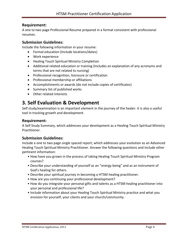#### **Requirement:**

A one to two page Professional Resume prepared in a format consistent with professional resumes.

#### **Submission Guidelines:**

Include the following information in your resume:

- · Formal education (Include locations/dates)
- · Work experience
- · Healing Touch Spiritual Ministry Completion
- · Additional related education or training (Includes an explanation of any acronyms and terms that are not related to nursing)
- · Professional recognition, licensure or certification
- · Professional membership or affiliations
- · Accomplishments or awards (do not include copies of certificates)
- · Summary list of published works
- · Other related interests

### **3. Self Evaluation & Development**

Self study/examination is an important element in the journey of the healer. It is also a useful tool in tracking growth and development.

#### **Requirement:**

A Self Study Summary, which addresses your development as a Healing Touch Spiritual Ministry Practitioner.

#### **Submission Guidelines:**

Include a one to two page single spaced report, which addresses your evolution as an Advanced Healing Touch Spiritual Ministry Practitioner. Answer the following questions and include other pertinent information:

- How have you grown in the process of taking Healing Touch Spiritual Ministry Program courses?
- Describe your understanding of yourself as an "energy being" and as an instrument of God's healing for others.
- Describe your spiritual journey in becoming a HTSM healing practitioner.
- How are you continuing your professional development?
- How do you integrate your personal gifts and talents as a HTSM healing practitioner into your personal and professional life?
- Include information about your Healing Touch Spiritual Ministry practice and what you envision for yourself, your clients and your church/community.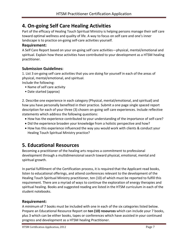# **4. On-going Self Care Healing Activities**

Part of the efficacy of Healing Touch Spiritual Ministry is helping persons manage their self care toward optimal wellness and quality of life. A way to focus on self care and one's inner landscape is to practice on-going self-care activities yourself.

#### **Requirement:**

A Self Care Report based on your on-going self care activities—physical, mental/emotional and spiritual. Explain how these activities have contributed to your development as a HTSM healing practitioner.

#### **Submission Guidelines:**

1. List 3 on-going self care activities that you are doing for yourself in each of the areas of physical, mental/emotional, and spiritual.

Include the following:

- Name of self care activity
- Date started (approx)

2. Describe one experience in each category (Physical, mental/emotional, and spiritual) and how you have personally benefited in their practice. Submit a one page single spaced report description for each of your three (3) chosen on-going self care experiences. Include reflective statements which address the following questions:

- · How has the experience contributed to your understanding of the importance of self-care?
- · Did the experience broaden your knowledge from a holistic perspective and how?
- · How has this experience influenced the way you would work with clients & conduct your Healing Touch Spiritual Ministry practice?

# **5. Educational Resources**

Becoming a practitioner of the healing arts requires a commitment to professional development through a multidimensional search toward physical, emotional, mental and spiritual growth.

In partial fulfillment of the Certification process, it is required that the Applicant read books, listen to educational offerings, and attend conferences relevant to the development of the Healing Touch Spiritual Ministry practitioner, ten (10) of which must be reported to fulfill this requirement. There are a myriad of ways to continue the exploration of energy therapies and spiritual healing. Books and suggested reading are listed in the HTSM curriculum in each of the student notebooks.

#### **Requirement:**

A minimum of 7 books must be included with one in each of the six categories listed below. Prepare an Educational Resource Report on **ten (10) resources** which can include your 7 books, plus 3 which can be either books, tapes or conferences which have assisted in your continued progress and development as a HTSM healing Practitioner.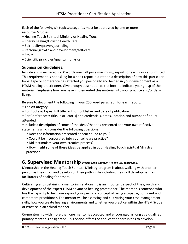Each of the following six topics/categories must be addressed by one or more resources/studies:

- Healing Touch Spiritual Ministry or Healing Touch
- Energy healing/Holistic Health Care
- Spirituality/prayer/journaling
- Personal growth and development/self-care
- Ethics
- · Scientific principles/quantum physics

#### **Submission Guidelines:**

Include a single-spaced, (250 words one half page maximum), report for each source submitted. This requirement is not asking for a book report but rather, a description of how this particular book, tape or conference has affected you personally and helped in your development as a HTSM healing practitioner. Give enough description of the book to indicate your grasp of the material. Emphasize how you have implemented this material into your practice and/or daily living.

Be sure to document the following in your 250 word paragraph for each report:

- Topic/Category
- For Books & Tapes: full title, author, publisher and date of publication
- For Conferences: title, instructor(s) and credentials, dates, location and number of hours attended

• Include a description of some of the ideas/theories presented and your own reflective statements which consider the following questions:

- Does the information presented appear sound to you?
- Could it be incorporated into your self-care practice?
- Did it stimulate your own creative process?
- How might some of these ideas be applied in your Healing Touch Spiritual Ministry practice?

#### **6. Supervised Mentorship** *Please read Chapter 7 in the 202 workbook.*

Mentorship in the Healing Touch Spiritual Ministry program is about walking with another person as they grow and develop on their path in life including their skill development as facilitators of healing for others.

Cultivating and sustaining a mentoring relationship is an important aspect of the growth and development of the expert HTSM advanced healing practitioner. The mentor is someone who has the capacity to help you expand your personal concept of being a capable, confident and competent practitioner. The mentor will be assessing and cultivating your case management skills, how you create healing environments and whether you practice within the HTSM Scope of Practice in an ethical manner.

Co-mentorship with more than one mentor is accepted and encouraged as long as a qualified primary mentor is designated. This option offers the applicant opportunities to develop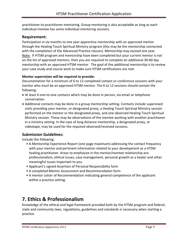practitioner-to-practitioner mentoring. Group mentoring is also acceptable as long as each individual mentee has some individual mentoring sessions.

#### **Requirement:**

Participation in six months to one year apprentice mentorship with an approved mentor through the Healing Touch Spiritual Ministry program (this may be the mentorship connected with the completion of the Advanced Practice classes). Mentorship may exceed one year. Note: If HTSM program and mentorship have been completed but your current mentor is not on the list of approved mentors, then you are required to complete an additional 30-60 day mentorship with an approved HTSM mentor. The goal of the additional mentorship is to review your case study and course work to make sure HTSM certifications are met.

#### **Mentor supervision will be required to provide:**

Documentation for a minimum of 6 to 12 completed contact or conference sessions with your mentor who must be an approved HTSM mentor. The 6 to 12 sessions should contain the following:

- · At least 6 one-to-one contacts which may be done in person, via email or telephone conversation.
- · Additional contacts may be done in a group mentorship setting. Contacts include supervised visits providing your mentor, or designated proxy, a Healing Touch Spiritual Ministry session performed on the mentor or the designated proxy, and one observed Healing Touch Spiritual Ministry session. These may be observations of the mentee working with another practitioner in a ministry setting. In the case of long distance mentorship, a designated proxy, or videotape, may be used for the required observed/received sessions.

#### **Submission Guidelines:**

Include the following:

- A Mentorship Experience Report (one page maximum) addressing the contact frequency with your mentor and pertinent information related to your development as a HTSM healing practitioner. Areas to emphasize in the mentor/mentee relationship are: professionalism, ethical issues, case management, personal growth as a healer and other meaningful issues important to you.
- Applicant's signed Assertion of Personal Responsibility form
- A completed Mentor Assessment and Recommendation form
- A mentor Letter of Recommendation indicating general competence of the applicant within a practice setting.

### **7. Ethics & Professionalism**

Knowledge of the ethical and legal framework provided both by the HTSM program and federal, state and community laws, regulations, guidelines and standards is necessary when starting a practice.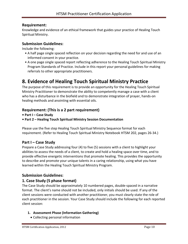#### **Requirement:**

Knowledge and evidence of an ethical framework that guides your practice of Healing Touch Spiritual Ministry.

#### **Submission Guidelines:**

Include the following:

- A half page single spaced reflection on your decision regarding the need for and use of an informed consent in your practice.
- A one page single spaced report reflecting adherence to the Healing Touch Spiritual Ministry Program Standards of Practice. Include in this report your personal guidelines for making referrals to other appropriate practitioners.

### **8. Evidence of Healing Touch Spiritual Ministry Practice**

The purpose of this requirement is to provide an opportunity for the Healing Touch Spiritual Ministry Practitioner to demonstrate the ability to competently manage a case with a client who has a disturbance in the biofield and to demonstrate integration of prayer, hands-on healing methods and anointing with essential oils.

#### **Requirement: (This is a 2 part requirement)**

- **• Part I – Case Study**
- **• Part 2 – Healing Touch Spiritual Ministry Session Documentation**

Please use the five step Healing Touch Spiritual Ministry Sequence format for each requirement. (Refer to Healing Touch Spiritual Ministry Notebook HTSM 202, pages 26-34.)

#### **Part I – Case Study**

Prepare a Case Study addressing four (4) to five (5) sessions with a client to highlight your abilities to assess the needs of a client, to create and hold a healing space over time, and to provide effective energetic interventions that promote healing. This provides the opportunity to describe and promote your unique talents in a caring relationship, using what you have learned within the Healing Touch Spiritual Ministry Program.

#### **Submission Guidelines:**

#### **1. Case Study (5 phase format)**

The Case Study should be approximately 10 numbered pages, double-spaced in a narrative format. The client's name should not be included, only initials should be used. If any of the client sessions were conducted with another practitioner, you must clearly state the role of each practitioner in the session. Your Case Study should include the following for each reported client session:

#### **1. Assessment Phase (Information Gathering)**

· Collecting personal information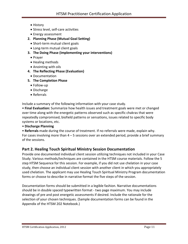- · History
- · Stress level, self-care activities
- · Energy assessment
- **2. Planning Phase (Mutual Goal Setting)**
	- · Short-term mutual client goals
	- · Long-term mutual client goals
- **3. The Doing Phase (Implementing your interventions)**
	- · Prayer
	- · Healing methods
	- · Anointing with oils
- **4. The Reflecting Phase (Evaluation)**
- · Documentation
- **5. The Completion Phase**
	- · Follow-up
	- · Discharge
	- · Referrals

Include a summary of the following information with your case study.

• **Final Evaluation:** Summarize how health issues and treatment goals were met or changed over time along with the energetic patterns observed such as specific chakras that were repeatedly compromised, biofield patterns or sensations, issues related to specific body systems or locations, etc.

• **Discharge Planning**

• **Referrals** made during the course of treatment. If no referrals were made, explain why. For cases involving more than  $4 - 5$  sessions over an extended period, provide a brief summary of the sessions.

#### **Part 2. Healing Touch Spiritual Ministry Session Documentation**

Provide one documented individual client session utilizing techniques not included in your Case Study. Various methods/techniques are contained in the HTSM course materials. Follow the 5 step HTSM Sequence for this session. For example, if you did not use chelation in your case study, then choose an individual client session with another client in which you appropriately used chelation. The applicant may use Healing Touch Spiritual Ministry Program documentation forms or choose to describe in narrative format the five steps of the session.

Documentation forms should be submitted in a legible fashion. Narrative documentations should be in double spaced typewritten format - two page maximum. You may include drawings of pre and post energetic assessments if desired. Include the rationale for the selection of your chosen techniques. (Sample documentation forms can be found in the Appendix of the HTSM 202 Notebook.)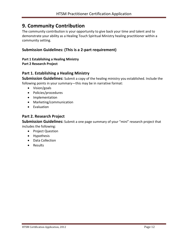### **9. Community Contribution**

The community contribution is your opportunity to give back your time and talent and to demonstrate your ability as a Healing Touch Spiritual Ministry healing practitioner within a community setting.

#### **Submission Guidelines: (This is a 2-part requirement)**

#### **Part 1 Establishing a Healing Ministry Part 2 Research Project**

#### **Part 1. Establishing a Healing Ministry**

**Submission Guidelines:** Submit a copy of the healing ministry you established. Include the following points in your summary—this may be in narrative format:

- · Vision/goals
- · Policies/procedures
- · Implementation
- · Marketing/communication
- · Evaluation

#### **Part 2. Research Project**

**Submission Guidelines:** Submit a one page summary of your "mini" research project that includes the following:

- · Project Question
- · Hypothesis
- · Data Collection
- · Results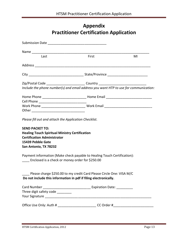# **Appendix Practitioner Certification Application**

| Last                                                                                                                                                                | First | MI |
|---------------------------------------------------------------------------------------------------------------------------------------------------------------------|-------|----|
|                                                                                                                                                                     |       |    |
|                                                                                                                                                                     |       |    |
|                                                                                                                                                                     |       |    |
| Include the phone number(s) and email address you want HTP to use for communication:                                                                                |       |    |
|                                                                                                                                                                     |       |    |
|                                                                                                                                                                     |       |    |
| Please fill out and attach the Application Checklist.                                                                                                               |       |    |
| <b>SEND PACKET TO:</b><br><b>Healing Touch Spiritual Ministry Certification</b><br><b>Certification Administrator</b><br>15439 Pebble Gate<br>San Antonio, TX 78232 |       |    |
| Payment information (Make check payable to Healing Touch Certification):<br>____ Enclosed is a check or money order for \$250.00                                    |       |    |
| Please charge \$250.00 to my credit Card Please Circle One: VISA M/C<br>Do not include this information in pdf if filing electronically.                            |       |    |
| Three digit safety code _________                                                                                                                                   |       |    |
| Office Use Only: Auth # ____________________________CC Order #__________________                                                                                    |       |    |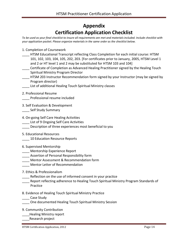# **Appendix Certification Application Checklist**

*To be used as your final checklist to insure all requirements are met and materials included. Include checklist with your application packet. Please organize materials in the same order as the checklist below.* 

- 1. Completion of Coursework
- HTSM Educational Transcript reflecting Class Completion for each initial course: HTSM 101, 102, 103, 104, 105, 202, 203. [For certificates prior to January, 2005, HTSM Level 1 and 2 or HT level 1 and 2 may be substituted for HTSM 103 and 104]
- \_\_\_\_ Certificate of Completion as Advanced Healing Practitioner signed by the Healing Touch Spiritual Ministry Program Director
- \_\_\_\_ HTSM 203 Instructor Recommendation form signed by your Instructor (may be signed by Program director)
- List of additional Healing Touch Spiritual Ministry classes
- 2. Professional Resume
- \_\_\_\_ Professional resume included
- 3. Self Evaluation & Development
- Self Study Summary
- 4. On-going Self Care Healing Activities
- \_\_\_\_ List of 9 Ongoing Self Care Activities
- Description of three experiences most beneficial to you
- 5. Educational Resources
- \_\_\_\_ 10 Education Resource Reports
- 6. Supervised Mentorship
- **\_\_\_\_** Mentorship Experience Report
- \_\_\_\_ Assertion of Personal Responsibility form
- \_\_\_\_ Mentor Assessment & Recommendation form
- Mentor Letter of Recommendation
- 7. Ethics & Professionalism
	- \_\_\_\_ Reflection on the use of informed consent in your practice
- Report reflecting adherence to Healing Touch Spiritual Ministry Program Standards of Practice
- 8. Evidence of Healing Touch Spiritual Ministry Practice
- \_\_\_\_ Case Study
- \_\_\_\_ One documented Healing Touch Spiritual Ministry Session
- 9. Community Contribution
- \_\_\_\_Healing Ministry report
- \_\_\_\_Research project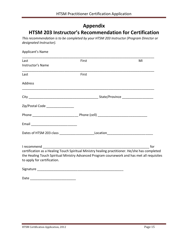# **Appendix**

# **HTSM 203 Instructor's Recommendation for Certification**

*This recommendation is to be completed by your HTSM 203 Instructor (Program Director or designated Instructor).* 

| Applicant's Name                   |                                                                                                                                                                                               |    |
|------------------------------------|-----------------------------------------------------------------------------------------------------------------------------------------------------------------------------------------------|----|
| Last<br>Instructor's Name          | First                                                                                                                                                                                         | MI |
| Last                               | First                                                                                                                                                                                         |    |
| Address                            |                                                                                                                                                                                               |    |
|                                    |                                                                                                                                                                                               |    |
| Zip/Postal Code __________________ |                                                                                                                                                                                               |    |
|                                    |                                                                                                                                                                                               |    |
|                                    |                                                                                                                                                                                               |    |
|                                    |                                                                                                                                                                                               |    |
| to apply for certification.        | certification as a Healing Touch Spiritual Ministry healing practitioner. He/she has completed<br>the Healing Touch Spiritual Ministry Advanced Program coursework and has met all requisites |    |
|                                    |                                                                                                                                                                                               |    |
|                                    |                                                                                                                                                                                               |    |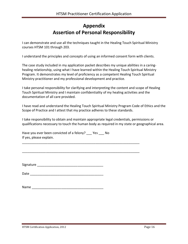# **Appendix Assertion of Personal Responsibility**

I can demonstrate and use all the techniques taught in the Healing Touch Spiritual Ministry courses HTSM 101 through 203.

I understand the principles and concepts of using an informed consent form with clients.

The case study included in my application packet describes my unique abilities in a caringhealing relationship, using what I have learned within the Healing Touch Spiritual Ministry Program. It demonstrates my level of proficiency as a competent Healing Touch Spiritual Ministry practitioner and my professional development and practice.

I take personal responsibility for clarifying and interpreting the content and scope of Healing Touch Spiritual Ministry and I maintain confidentiality of my healing activities and the documentation of all care provided.

I have read and understand the Healing Touch Spiritual Ministry Program Code of Ethics and the Scope of Practice and I attest that my practice adheres to these standards.

I take responsibility to obtain and maintain appropriate legal credentials, permissions or qualifications necessary to touch the human body as required in my state or geographical area.

| Have you ever been convicted of a felony? Yes | No. |
|-----------------------------------------------|-----|
| If yes, please explain.                       |     |

\_\_\_\_\_\_\_\_\_\_\_\_\_\_\_\_\_\_\_\_\_\_\_\_\_\_\_\_\_\_\_\_\_\_\_\_\_\_\_\_\_\_\_\_\_\_\_\_\_\_\_\_\_\_\_\_\_\_\_\_\_\_\_\_

\_\_\_\_\_\_\_\_\_\_\_\_\_\_\_\_\_\_\_\_\_\_\_\_\_\_\_\_\_\_\_\_\_\_\_\_\_\_\_\_\_\_\_\_\_\_\_\_\_\_\_\_\_\_\_\_\_\_\_\_\_\_\_\_

Signature **Example 2018** 

Date \_\_\_\_\_\_\_\_\_\_\_\_\_\_\_\_\_\_\_\_\_\_\_\_\_\_\_\_\_\_\_\_\_\_\_\_\_\_\_\_

| Name |  |  |  |
|------|--|--|--|
|      |  |  |  |